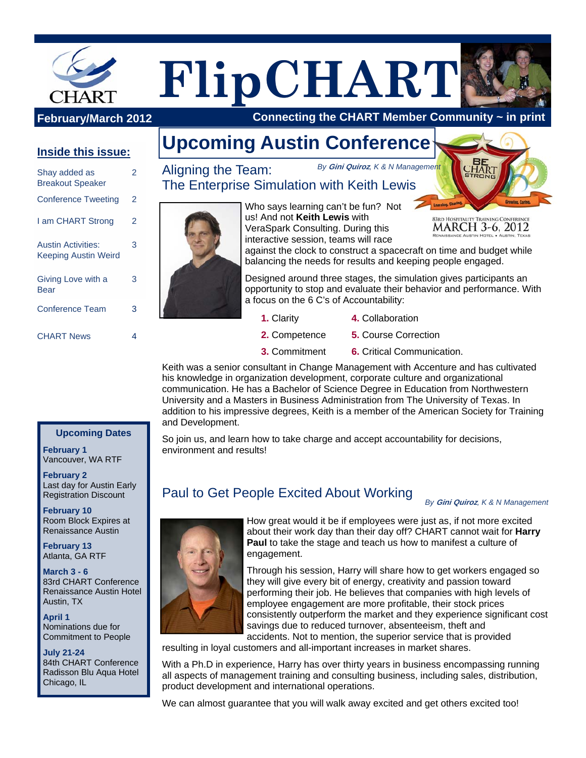



 **Connecting the CHART Member Community ~ in print**

### **Inside this issue:**

| Shay added as<br><b>Breakout Speaker</b>                 | 2 |
|----------------------------------------------------------|---|
| <b>Conference Tweeting</b>                               | 2 |
| I am CHART Strong                                        | 2 |
| <b>Austin Activities:</b><br><b>Keeping Austin Weird</b> | 3 |
| Giving Love with a<br>Bear                               | 3 |
| <b>Conference Team</b>                                   | 3 |
| <b>CHART News</b>                                        | 4 |

# **Upcoming Austin Conference**

*By* **Gini Quiroz***, K & N Management*  Aligning the Team: The Enterprise Simulation with Keith Lewis



Who says learning can't be fun? Not us! And not **Keith Lewis** with VeraSpark Consulting. During this interactive session, teams will race



against the clock to construct a spacecraft on time and budget while balancing the needs for results and keeping people engaged.

Designed around three stages, the simulation gives participants an opportunity to stop and evaluate their behavior and performance. With a focus on the 6 C's of Accountability:

- **1.** Clarity
	- **4.** Collaboration
- **2.** Competence **5.** Course Correction
- **3.** Commitment **6.** Critical Communication.

Keith was a senior consultant in Change Management with Accenture and has cultivated his knowledge in organization development, corporate culture and organizational communication. He has a Bachelor of Science Degree in Education from Northwestern University and a Masters in Business Administration from The University of Texas. In addition to his impressive degrees, Keith is a member of the American Society for Training and Development.

So join us, and learn how to take charge and accept accountability for decisions, environment and results!

## Paul to Get People Excited About Working

#### *By* **Gini Quiroz***, K & N Management*



How great would it be if employees were just as, if not more excited about their work day than their day off? CHART cannot wait for **Harry Paul** to take the stage and teach us how to manifest a culture of engagement.

Through his session, Harry will share how to get workers engaged so they will give every bit of energy, creativity and passion toward performing their job. He believes that companies with high levels of employee engagement are more profitable, their stock prices consistently outperform the market and they experience significant cost savings due to reduced turnover, absenteeism, theft and accidents. Not to mention, the superior service that is provided

resulting in loyal customers and all-important increases in market shares.

With a Ph.D in experience, Harry has over thirty years in business encompassing running all aspects of management training and consulting business, including sales, distribution, product development and international operations.

We can almost guarantee that you will walk away excited and get others excited too!

#### **Upcoming Dates**

**February 1** Vancouver, WA RTF

**February 2** Last day for Austin Early Registration Discount

**February 10** Room Block Expires at Renaissance Austin

**February 13** Atlanta, GA RTF

**March 3 - 6**  83rd CHART Conference Renaissance Austin Hotel Austin, TX

**April 1**  Nominations due for Commitment to People

**July 21-24**  84th CHART Conference Radisson Blu Aqua Hotel Chicago, IL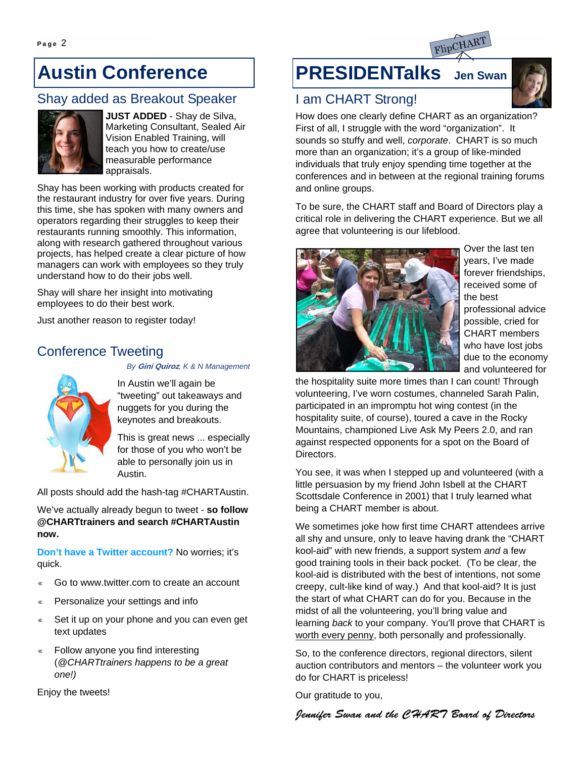# **Austin Conference**

### Shay added as Breakout Speaker



**JUST ADDED** - Shay de Silva, Marketing Consultant, Sealed Air Vision Enabled Training, will teach you how to create/use measurable performance appraisals.

Shay has been working with products created for the restaurant industry for over five years. During this time, she has spoken with many owners and operators regarding their struggles to keep their restaurants running smoothly. This information, along with research gathered throughout various projects, has helped create a clear picture of how managers can work with employees so they truly understand how to do their jobs well.

Shay will share her insight into motivating employees to do their best work.

Just another reason to register today!

### Conference Tweeting

*By* **Gini Quiroz***, K & N Management* 



In Austin we'll again be "tweeting" out takeaways and nuggets for you during the keynotes and breakouts.

This is great news ... especially for those of you who won't be able to personally join us in Austin.

All posts should add the hash-tag #CHARTAustin.

We've actually already begun to tweet - **so follow @CHARTtrainers and search #CHARTAustin now.**

**Don't have a Twitter account?** No worries; it's quick.

- Go to www.twitter.com to create an account
- $\ll$  Personalize your settings and info
- « Set it up on your phone and you can even get text updates
- Follow anyone you find interesting (*@CHARTtrainers happens to be a great one!)*

Enjoy the tweets!

## **PRESIDENTalks Jen Swan**



### I am CHART Strong!

How does one clearly define CHART as an organization? First of all, I struggle with the word "organization". It sounds so stuffy and well, *corporate*. CHART is so much more than an organization; it's a group of like-minded individuals that truly enjoy spending time together at the conferences and in between at the regional training forums and online groups.

To be sure, the CHART staff and Board of Directors play a critical role in delivering the CHART experience. But we all agree that volunteering is our lifeblood.



Over the last ten years, I've made forever friendships, received some of the best professional advice possible, cried for CHART members who have lost jobs due to the economy and volunteered for

the hospitality suite more times than I can count! Through volunteering, I've worn costumes, channeled Sarah Palin, participated in an impromptu hot wing contest (in the hospitality suite, of course), toured a cave in the Rocky Mountains, championed Live Ask My Peers 2.0, and ran against respected opponents for a spot on the Board of Directors.

You see, it was when I stepped up and volunteered (with a little persuasion by my friend John Isbell at the CHART Scottsdale Conference in 2001) that I truly learned what being a CHART member is about.

We sometimes joke how first time CHART attendees arrive all shy and unsure, only to leave having drank the "CHART kool-aid" with new friends, a support system *and* a few good training tools in their back pocket. (To be clear, the kool-aid is distributed with the best of intentions, not some creepy, cult-like kind of way.) And that kool-aid? It is just the start of what CHART can do for you. Because in the midst of all the volunteering, you'll bring value and learning *back* to your company. You'll prove that CHART is worth every penny, both personally and professionally.

So, to the conference directors, regional directors, silent auction contributors and mentors – the volunteer work you do for CHART is priceless!

Our gratitude to you,

Jennifer Swan and the CHART Board of Directors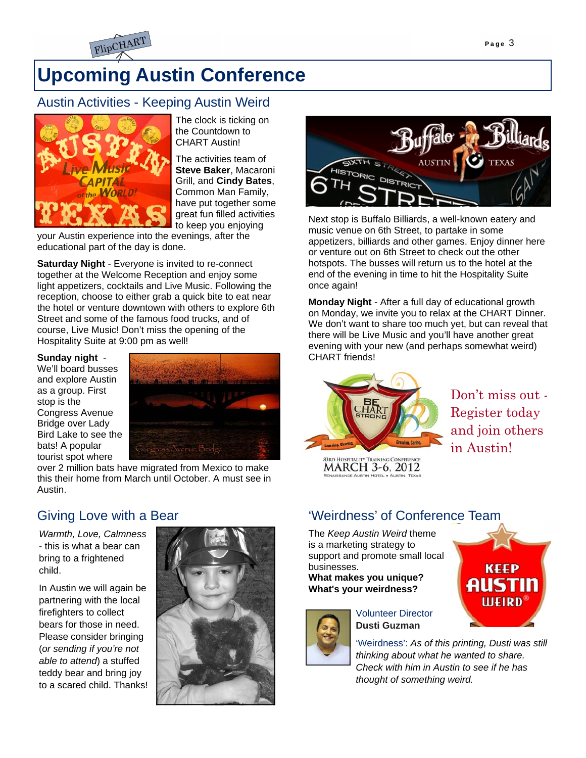

# **Upcoming Austin Conference**

### Austin Activities - Keeping Austin Weird



The clock is ticking on the Countdown to CHART Austin!

The activities team of **Steve Baker**, Macaroni Grill, and **Cindy Bates**, Common Man Family, have put together some great fun filled activities to keep you enjoying

your Austin experience into the evenings, after the educational part of the day is done.

**Saturday Night** - Everyone is invited to re-connect together at the Welcome Reception and enjoy some light appetizers, cocktails and Live Music. Following the reception, choose to either grab a quick bite to eat near the hotel or venture downtown with others to explore 6th Street and some of the famous food trucks, and of course, Live Music! Don't miss the opening of the Hospitality Suite at 9:00 pm as well!

#### **Sunday night** -

We'll board busses and explore Austin as a group. First stop is the Congress Avenue Bridge over Lady Bird Lake to see the bats! A popular tourist spot where



over 2 million bats have migrated from Mexico to make this their home from March until October. A must see in Austin.

### Giving Love with a Bear

*Warmth, Love, Calmness*  - this is what a bear can bring to a frightened child.

In Austin we will again be partnering with the local firefighters to collect bears for those in need. Please consider bringing (*or sending if you're not able to attend*) a stuffed teddy bear and bring joy to a scared child. Thanks!





Next stop is Buffalo Billiards, a well-known eatery and music venue on 6th Street, to partake in some appetizers, billiards and other games. Enjoy dinner here or venture out on 6th Street to check out the other hotspots. The busses will return us to the hotel at the end of the evening in time to hit the Hospitality Suite once again!

**Monday Night** - After a full day of educational growth on Monday, we invite you to relax at the CHART Dinner. We don't want to share too much yet, but can reveal that there will be Live Music and you'll have another great evening with your new (and perhaps somewhat weird) CHART friends!



Don't miss out - Register today and join others in Austin!

**83RD HOSPITALITY TRAINING CONFERE** MARCH 3-6, 2012

### 'Weirdness' of Conference Team

The *Keep Austin Weird* theme is a marketing strategy to support and promote small local businesses.

**What makes you unique? What's your weirdness?** 



Volunteer Director **Dusti Guzman** 

'Weirdness': *As of this printing, Dusti was still thinking about what he wanted to share. Check with him in Austin to see if he has thought of something weird.*